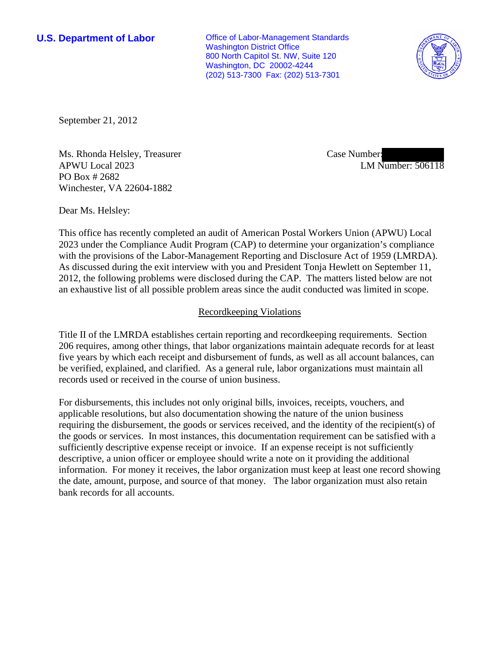**U.S. Department of Labor Conservative Conservative Conservative Conservative Conservative Conservative Conservative Conservative Conservative Conservative Conservative Conservative Conservative Conservative Conservative** Washington District Office 800 North Capitol St. NW, Suite 120 Washington, DC 20002-4244 (202) 513-7300 Fax: (202) 513-7301



September 21, 2012

Ms. Rhonda Helsley, Treasurer APWU Local 2023 PO Box # 2682 Winchester, VA 22604-1882

Case Number: LM Number: 506118

Dear Ms. Helsley:

This office has recently completed an audit of American Postal Workers Union (APWU) Local 2023 under the Compliance Audit Program (CAP) to determine your organization's compliance with the provisions of the Labor-Management Reporting and Disclosure Act of 1959 (LMRDA). As discussed during the exit interview with you and President Tonja Hewlett on September 11, 2012, the following problems were disclosed during the CAP. The matters listed below are not an exhaustive list of all possible problem areas since the audit conducted was limited in scope.

## Recordkeeping Violations

Title II of the LMRDA establishes certain reporting and recordkeeping requirements. Section 206 requires, among other things, that labor organizations maintain adequate records for at least five years by which each receipt and disbursement of funds, as well as all account balances, can be verified, explained, and clarified. As a general rule, labor organizations must maintain all records used or received in the course of union business.

For disbursements, this includes not only original bills, invoices, receipts, vouchers, and applicable resolutions, but also documentation showing the nature of the union business requiring the disbursement, the goods or services received, and the identity of the recipient(s) of the goods or services. In most instances, this documentation requirement can be satisfied with a sufficiently descriptive expense receipt or invoice. If an expense receipt is not sufficiently descriptive, a union officer or employee should write a note on it providing the additional information. For money it receives, the labor organization must keep at least one record showing the date, amount, purpose, and source of that money. The labor organization must also retain bank records for all accounts.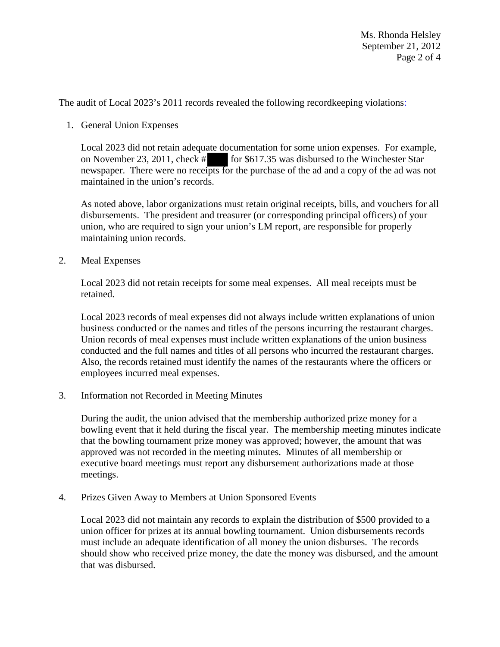The audit of Local 2023's 2011 records revealed the following recordkeeping violations:

1. General Union Expenses

Local 2023 did not retain adequate documentation for some union expenses. For example, on November 23, 2011, check # for \$617.35 was disbursed to the Winchester Star newspaper. There were no receipts for the purchase of the ad and a copy of the ad was not maintained in the union's records.

As noted above, labor organizations must retain original receipts, bills, and vouchers for all disbursements. The president and treasurer (or corresponding principal officers) of your union, who are required to sign your union's LM report, are responsible for properly maintaining union records.

2. Meal Expenses

Local 2023 did not retain receipts for some meal expenses. All meal receipts must be retained.

Local 2023 records of meal expenses did not always include written explanations of union business conducted or the names and titles of the persons incurring the restaurant charges. Union records of meal expenses must include written explanations of the union business conducted and the full names and titles of all persons who incurred the restaurant charges. Also, the records retained must identify the names of the restaurants where the officers or employees incurred meal expenses.

3. Information not Recorded in Meeting Minutes

During the audit, the union advised that the membership authorized prize money for a bowling event that it held during the fiscal year. The membership meeting minutes indicate that the bowling tournament prize money was approved; however, the amount that was approved was not recorded in the meeting minutes. Minutes of all membership or executive board meetings must report any disbursement authorizations made at those meetings.

4. Prizes Given Away to Members at Union Sponsored Events

Local 2023 did not maintain any records to explain the distribution of \$500 provided to a union officer for prizes at its annual bowling tournament. Union disbursements records must include an adequate identification of all money the union disburses. The records should show who received prize money, the date the money was disbursed, and the amount that was disbursed.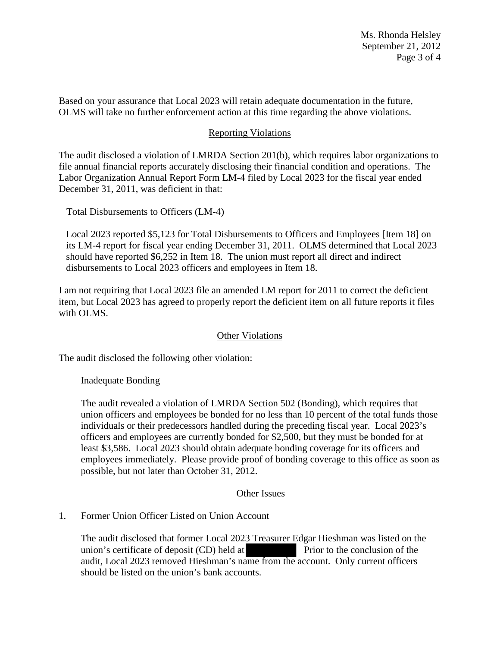Ms. Rhonda Helsley September 21, 2012 Page 3 of 4

Based on your assurance that Local 2023 will retain adequate documentation in the future, OLMS will take no further enforcement action at this time regarding the above violations.

# Reporting Violations

The audit disclosed a violation of LMRDA Section 201(b), which requires labor organizations to file annual financial reports accurately disclosing their financial condition and operations. The Labor Organization Annual Report Form LM-4 filed by Local 2023 for the fiscal year ended December 31, 2011, was deficient in that:

Total Disbursements to Officers (LM-4)

Local 2023 reported \$5,123 for Total Disbursements to Officers and Employees [Item 18] on its LM-4 report for fiscal year ending December 31, 2011. OLMS determined that Local 2023 should have reported \$6,252 in Item 18. The union must report all direct and indirect disbursements to Local 2023 officers and employees in Item 18.

I am not requiring that Local 2023 file an amended LM report for 2011 to correct the deficient item, but Local 2023 has agreed to properly report the deficient item on all future reports it files with OLMS.

## **Other Violations**

The audit disclosed the following other violation:

Inadequate Bonding

The audit revealed a violation of LMRDA Section 502 (Bonding), which requires that union officers and employees be bonded for no less than 10 percent of the total funds those individuals or their predecessors handled during the preceding fiscal year. Local 2023's officers and employees are currently bonded for \$2,500, but they must be bonded for at least \$3,586. Local 2023 should obtain adequate bonding coverage for its officers and employees immediately. Please provide proof of bonding coverage to this office as soon as possible, but not later than October 31, 2012.

## Other Issues

### 1. Former Union Officer Listed on Union Account

The audit disclosed that former Local 2023 Treasurer Edgar Hieshman was listed on the union's certificate of deposit (CD) held at Prior to the conclusion of the audit, Local 2023 removed Hieshman's name from the account. Only current officers should be listed on the union's bank accounts.